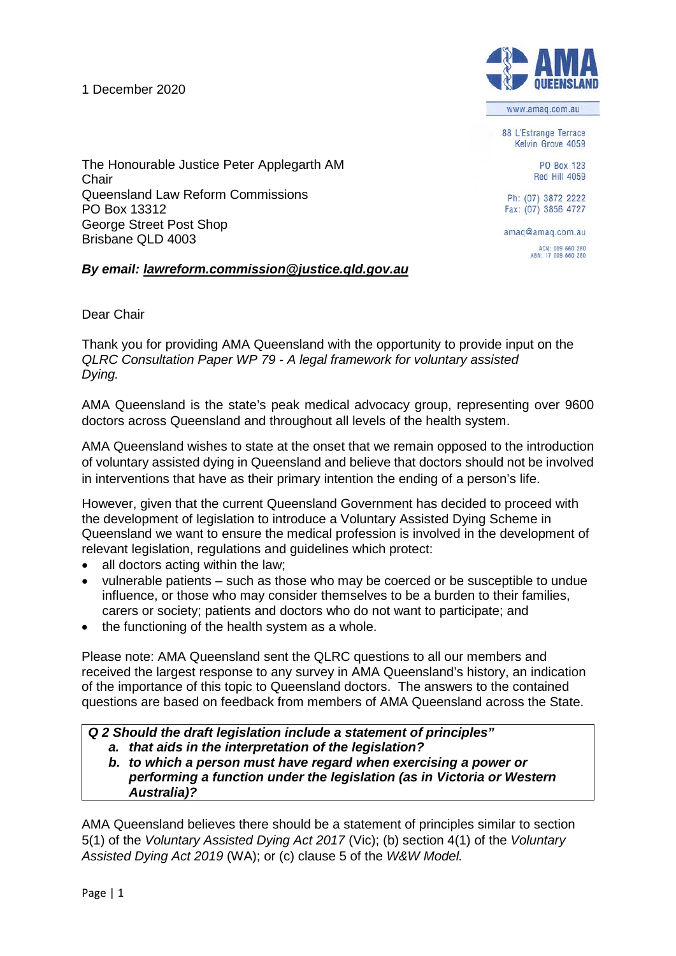1 December 2020



www.amaq.com.au

88 L'Estrange Terrace Kelvin Grove 4059

> **PO Box 123** Red Hill 4059

Ph: (07) 3872 2222 Fax: (07) 3856 4727

amag@amag.com.au ACN: 009 660 280<br>ABN: 17 009 660 280

The Honourable Justice Peter Applegarth AM **Chair** Queensland Law Reform Commissions PO Box 13312 George Street Post Shop Brisbane QLD 4003

# *By email: [lawreform.commission@justice.qld.gov.au](mailto:lawreform.commission@justice.qld.gov.au)*

Dear Chair

Thank you for providing AMA Queensland with the opportunity to provide input on the *QLRC Consultation Paper WP 79 - A legal framework for voluntary assisted Dying.* 

AMA Queensland is the state's peak medical advocacy group, representing over 9600 doctors across Queensland and throughout all levels of the health system.

AMA Queensland wishes to state at the onset that we remain opposed to the introduction of voluntary assisted dying in Queensland and believe that doctors should not be involved in interventions that have as their primary intention the ending of a person's life.

However, given that the current Queensland Government has decided to proceed with the development of legislation to introduce a Voluntary Assisted Dying Scheme in Queensland we want to ensure the medical profession is involved in the development of relevant legislation, regulations and guidelines which protect:

- all doctors acting within the law;
- vulnerable patients such as those who may be coerced or be susceptible to undue influence, or those who may consider themselves to be a burden to their families, carers or society; patients and doctors who do not want to participate; and
- the functioning of the health system as a whole.

Please note: AMA Queensland sent the QLRC questions to all our members and received the largest response to any survey in AMA Queensland's history, an indication of the importance of this topic to Queensland doctors. The answers to the contained questions are based on feedback from members of AMA Queensland across the State.

*Q 2 Should the draft legislation include a statement of principles"*

- *a. that aids in the interpretation of the legislation?*
- *b. to which a person must have regard when exercising a power or performing a function under the legislation (as in Victoria or Western Australia)?*

AMA Queensland believes there should be a statement of principles similar to section 5(1) of the *Voluntary Assisted Dying Act 2017* (Vic); (b) section 4(1) of the *Voluntary Assisted Dying Act 2019* (WA); or (c) clause 5 of the *W&W Model.*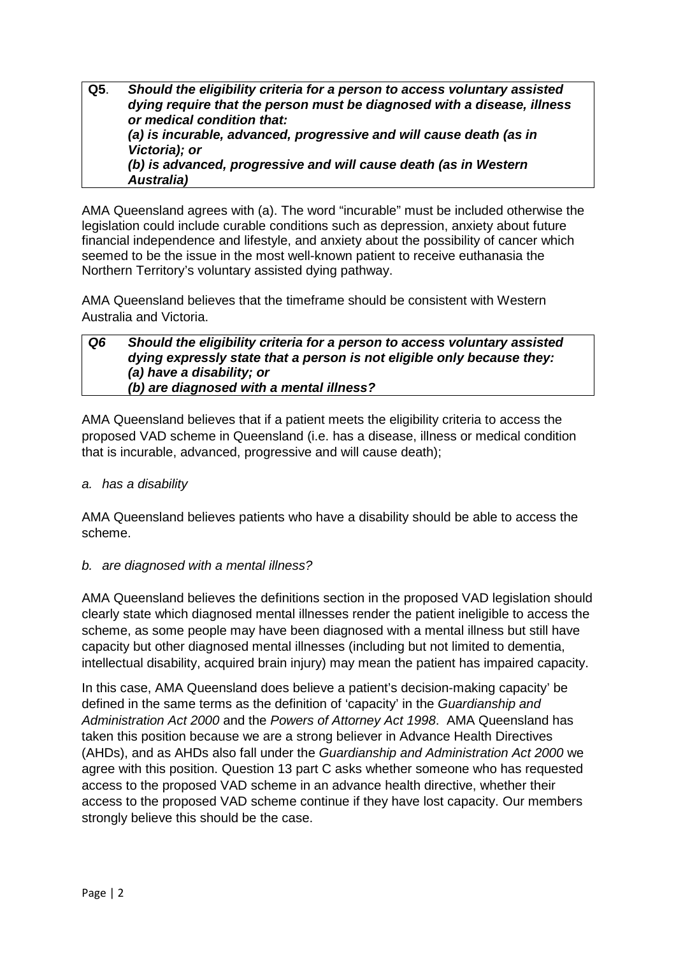**Q5**. *Should the eligibility criteria for a person to access voluntary assisted dying require that the person must be diagnosed with a disease, illness or medical condition that: (a) is incurable, advanced, progressive and will cause death (as in Victoria); or (b) is advanced, progressive and will cause death (as in Western Australia)*

AMA Queensland agrees with (a). The word "incurable" must be included otherwise the legislation could include curable conditions such as depression, anxiety about future financial independence and lifestyle, and anxiety about the possibility of cancer which seemed to be the issue in the most well-known patient to receive euthanasia the Northern Territory's voluntary assisted dying pathway.

AMA Queensland believes that the timeframe should be consistent with Western Australia and Victoria.

#### *Q6 Should the eligibility criteria for a person to access voluntary assisted dying expressly state that a person is not eligible only because they: (a) have a disability; or (b) are diagnosed with a mental illness?*

AMA Queensland believes that if a patient meets the eligibility criteria to access the proposed VAD scheme in Queensland (i.e. has a disease, illness or medical condition that is incurable, advanced, progressive and will cause death);

# *a. has a disability*

AMA Queensland believes patients who have a disability should be able to access the scheme.

# *b. are diagnosed with a mental illness?*

AMA Queensland believes the definitions section in the proposed VAD legislation should clearly state which diagnosed mental illnesses render the patient ineligible to access the scheme, as some people may have been diagnosed with a mental illness but still have capacity but other diagnosed mental illnesses (including but not limited to dementia, intellectual disability, acquired brain injury) may mean the patient has impaired capacity.

In this case, AMA Queensland does believe a patient's decision-making capacity' be defined in the same terms as the definition of 'capacity' in the *Guardianship and Administration Act 2000* and the *Powers of Attorney Act 1998*. AMA Queensland has taken this position because we are a strong believer in Advance Health Directives (AHDs), and as AHDs also fall under the *Guardianship and Administration Act 2000* we agree with this position. Question 13 part C asks whether someone who has requested access to the proposed VAD scheme in an advance health directive, whether their access to the proposed VAD scheme continue if they have lost capacity. Our members strongly believe this should be the case.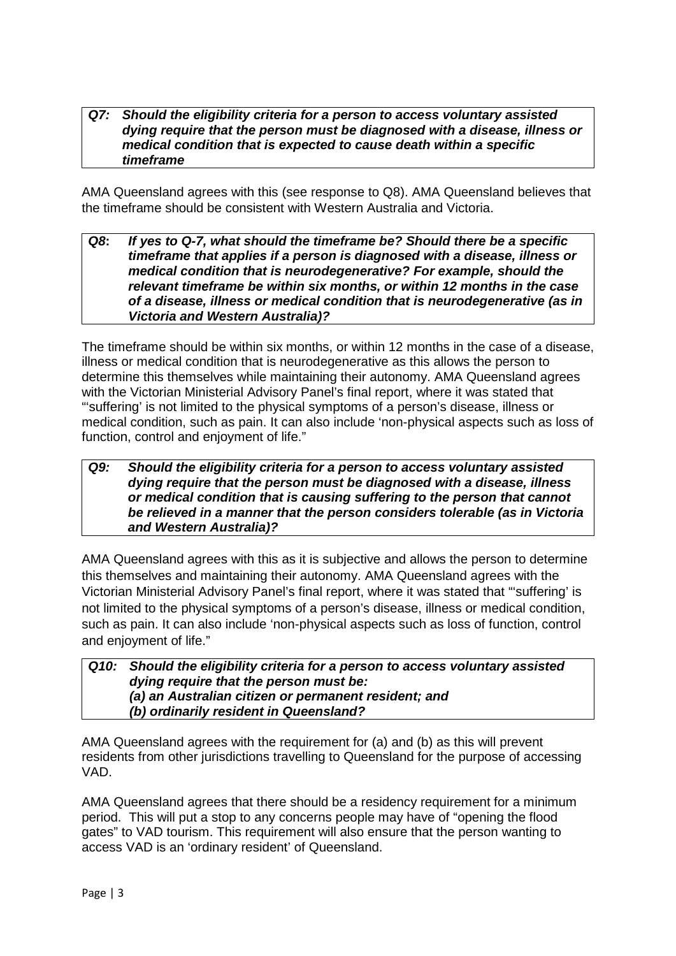#### *Q7: Should the eligibility criteria for a person to access voluntary assisted dying require that the person must be diagnosed with a disease, illness or medical condition that is expected to cause death within a specific timeframe*

AMA Queensland agrees with this (see response to Q8). AMA Queensland believes that the timeframe should be consistent with Western Australia and Victoria.

### *Q8***:** *If yes to Q-7, what should the timeframe be? Should there be a specific timeframe that applies if a person is diagnosed with a disease, illness or medical condition that is neurodegenerative? For example, should the relevant timeframe be within six months, or within 12 months in the case of a disease, illness or medical condition that is neurodegenerative (as in Victoria and Western Australia)?*

The timeframe should be within six months, or within 12 months in the case of a disease, illness or medical condition that is neurodegenerative as this allows the person to determine this themselves while maintaining their autonomy. AMA Queensland agrees with the Victorian Ministerial Advisory Panel's final report, where it was stated that "'suffering' is not limited to the physical symptoms of a person's disease, illness or medical condition, such as pain. It can also include 'non-physical aspects such as loss of function, control and enjoyment of life."

# *Q9: Should the eligibility criteria for a person to access voluntary assisted dying require that the person must be diagnosed with a disease, illness or medical condition that is causing suffering to the person that cannot be relieved in a manner that the person considers tolerable (as in Victoria and Western Australia)?*

AMA Queensland agrees with this as it is subjective and allows the person to determine this themselves and maintaining their autonomy. AMA Queensland agrees with the Victorian Ministerial Advisory Panel's final report, where it was stated that "'suffering' is not limited to the physical symptoms of a person's disease, illness or medical condition, such as pain. It can also include 'non-physical aspects such as loss of function, control and enjoyment of life."

# *Q10: Should the eligibility criteria for a person to access voluntary assisted dying require that the person must be: (a) an Australian citizen or permanent resident; and (b) ordinarily resident in Queensland?*

AMA Queensland agrees with the requirement for (a) and (b) as this will prevent residents from other jurisdictions travelling to Queensland for the purpose of accessing VAD.

AMA Queensland agrees that there should be a residency requirement for a minimum period. This will put a stop to any concerns people may have of "opening the flood gates" to VAD tourism. This requirement will also ensure that the person wanting to access VAD is an 'ordinary resident' of Queensland.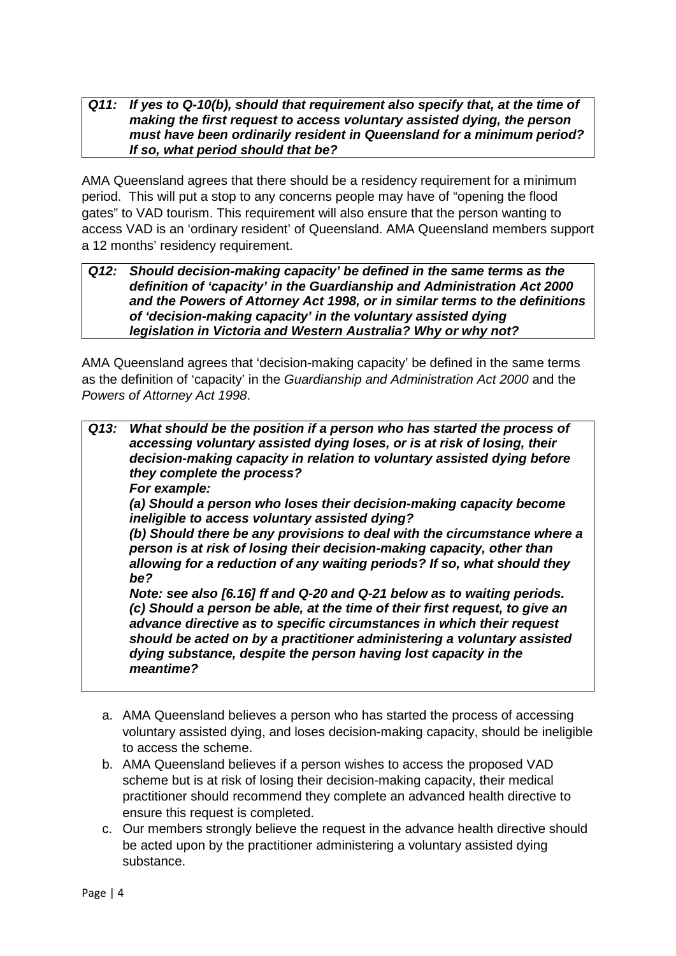### *Q11: If yes to Q-10(b), should that requirement also specify that, at the time of making the first request to access voluntary assisted dying, the person must have been ordinarily resident in Queensland for a minimum period? If so, what period should that be?*

AMA Queensland agrees that there should be a residency requirement for a minimum period. This will put a stop to any concerns people may have of "opening the flood gates" to VAD tourism. This requirement will also ensure that the person wanting to access VAD is an 'ordinary resident' of Queensland. AMA Queensland members support a 12 months' residency requirement.

#### *Q12: Should decision-making capacity' be defined in the same terms as the definition of 'capacity' in the Guardianship and Administration Act 2000 and the Powers of Attorney Act 1998, or in similar terms to the definitions of 'decision-making capacity' in the voluntary assisted dying legislation in Victoria and Western Australia? Why or why not?*

AMA Queensland agrees that 'decision-making capacity' be defined in the same terms as the definition of 'capacity' in the *Guardianship and Administration Act 2000* and the *Powers of Attorney Act 1998*.

|  | Q13: What should be the position if a person who has started the process of<br>accessing voluntary assisted dying loses, or is at risk of losing, their<br>decision-making capacity in relation to voluntary assisted dying before<br>they complete the process?<br>For example:                                                                                                           |
|--|--------------------------------------------------------------------------------------------------------------------------------------------------------------------------------------------------------------------------------------------------------------------------------------------------------------------------------------------------------------------------------------------|
|  | (a) Should a person who loses their decision-making capacity become<br>ineligible to access voluntary assisted dying?                                                                                                                                                                                                                                                                      |
|  | (b) Should there be any provisions to deal with the circumstance where a<br>person is at risk of losing their decision-making capacity, other than<br>allowing for a reduction of any waiting periods? If so, what should they                                                                                                                                                             |
|  | be?                                                                                                                                                                                                                                                                                                                                                                                        |
|  | Note: see also [6.16] ff and Q-20 and Q-21 below as to waiting periods.<br>(c) Should a person be able, at the time of their first request, to give an<br>advance directive as to specific circumstances in which their request<br>should be acted on by a practitioner administering a voluntary assisted<br>dying substance, despite the person having lost capacity in the<br>meantime? |

- a. AMA Queensland believes a person who has started the process of accessing voluntary assisted dying, and loses decision-making capacity, should be ineligible to access the scheme.
- b. AMA Queensland believes if a person wishes to access the proposed VAD scheme but is at risk of losing their decision-making capacity, their medical practitioner should recommend they complete an advanced health directive to ensure this request is completed.
- c. Our members strongly believe the request in the advance health directive should be acted upon by the practitioner administering a voluntary assisted dying substance.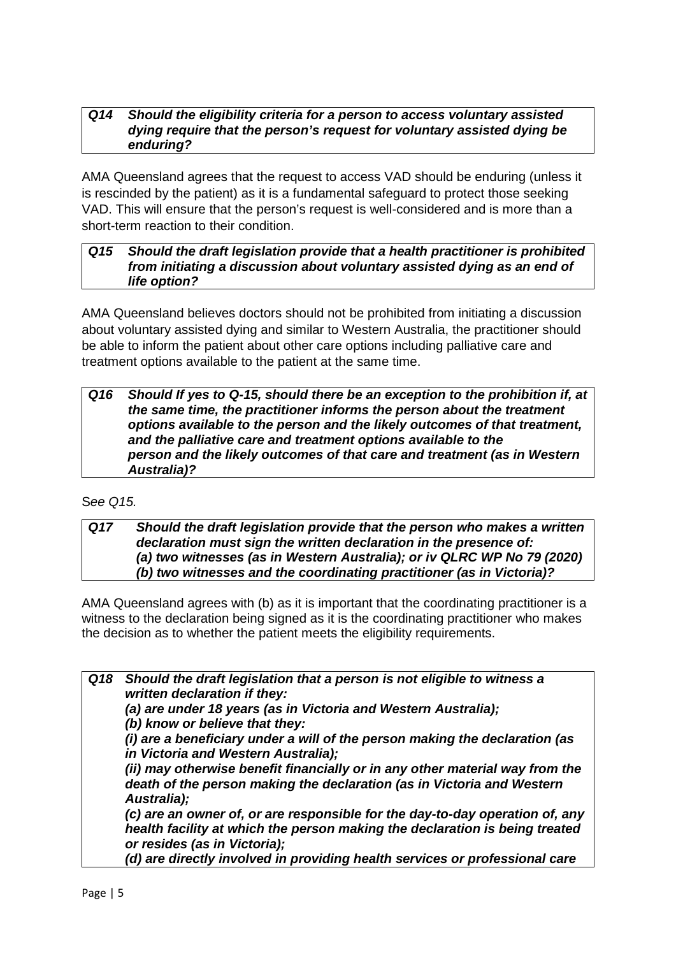### *Q14 Should the eligibility criteria for a person to access voluntary assisted dying require that the person's request for voluntary assisted dying be enduring?*

AMA Queensland agrees that the request to access VAD should be enduring (unless it is rescinded by the patient) as it is a fundamental safeguard to protect those seeking VAD. This will ensure that the person's request is well-considered and is more than a short-term reaction to their condition.

# *Q15 Should the draft legislation provide that a health practitioner is prohibited from initiating a discussion about voluntary assisted dying as an end of life option?*

AMA Queensland believes doctors should not be prohibited from initiating a discussion about voluntary assisted dying and similar to Western Australia, the practitioner should be able to inform the patient about other care options including palliative care and treatment options available to the patient at the same time.

*Q16 Should If yes to Q-15, should there be an exception to the prohibition if, at the same time, the practitioner informs the person about the treatment options available to the person and the likely outcomes of that treatment, and the palliative care and treatment options available to the person and the likely outcomes of that care and treatment (as in Western Australia)?*

# S*ee Q15.*

*Q17 Should the draft legislation provide that the person who makes a written declaration must sign the written declaration in the presence of: (a) two witnesses (as in Western Australia); or iv QLRC WP No 79 (2020) (b) two witnesses and the coordinating practitioner (as in Victoria)?*

AMA Queensland agrees with (b) as it is important that the coordinating practitioner is a witness to the declaration being signed as it is the coordinating practitioner who makes the decision as to whether the patient meets the eligibility requirements.

*Q18 Should the draft legislation that a person is not eligible to witness a written declaration if they: (a) are under 18 years (as in Victoria and Western Australia); (b) know or believe that they: (i) are a beneficiary under a will of the person making the declaration (as in Victoria and Western Australia); (ii) may otherwise benefit financially or in any other material way from the death of the person making the declaration (as in Victoria and Western Australia); (c) are an owner of, or are responsible for the day-to-day operation of, any health facility at which the person making the declaration is being treated or resides (as in Victoria);*

*(d) are directly involved in providing health services or professional care*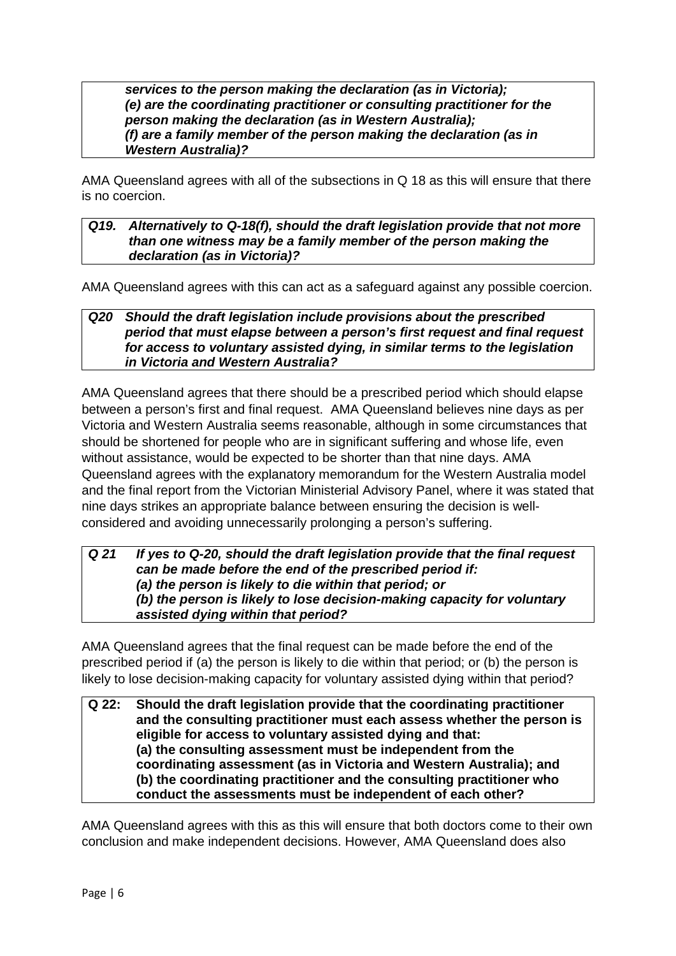*services to the person making the declaration (as in Victoria); (e) are the coordinating practitioner or consulting practitioner for the person making the declaration (as in Western Australia); (f) are a family member of the person making the declaration (as in Western Australia)?*

AMA Queensland agrees with all of the subsections in Q 18 as this will ensure that there is no coercion.

## *Q19. Alternatively to Q-18(f), should the draft legislation provide that not more than one witness may be a family member of the person making the declaration (as in Victoria)?*

AMA Queensland agrees with this can act as a safeguard against any possible coercion.

# *Q20 Should the draft legislation include provisions about the prescribed period that must elapse between a person's first request and final request for access to voluntary assisted dying, in similar terms to the legislation in Victoria and Western Australia?*

AMA Queensland agrees that there should be a prescribed period which should elapse between a person's first and final request. AMA Queensland believes nine days as per Victoria and Western Australia seems reasonable, although in some circumstances that should be shortened for people who are in significant suffering and whose life, even without assistance, would be expected to be shorter than that nine days. AMA Queensland agrees with the explanatory memorandum for the Western Australia model and the final report from the Victorian Ministerial Advisory Panel, where it was stated that nine days strikes an appropriate balance between ensuring the decision is wellconsidered and avoiding unnecessarily prolonging a person's suffering.

# *Q 21 If yes to Q-20, should the draft legislation provide that the final request can be made before the end of the prescribed period if: (a) the person is likely to die within that period; or (b) the person is likely to lose decision-making capacity for voluntary assisted dying within that period?*

AMA Queensland agrees that the final request can be made before the end of the prescribed period if (a) the person is likely to die within that period; or (b) the person is likely to lose decision-making capacity for voluntary assisted dying within that period?

#### **Q 22: Should the draft legislation provide that the coordinating practitioner and the consulting practitioner must each assess whether the person is eligible for access to voluntary assisted dying and that: (a) the consulting assessment must be independent from the coordinating assessment (as in Victoria and Western Australia); and (b) the coordinating practitioner and the consulting practitioner who conduct the assessments must be independent of each other?**

AMA Queensland agrees with this as this will ensure that both doctors come to their own conclusion and make independent decisions. However, AMA Queensland does also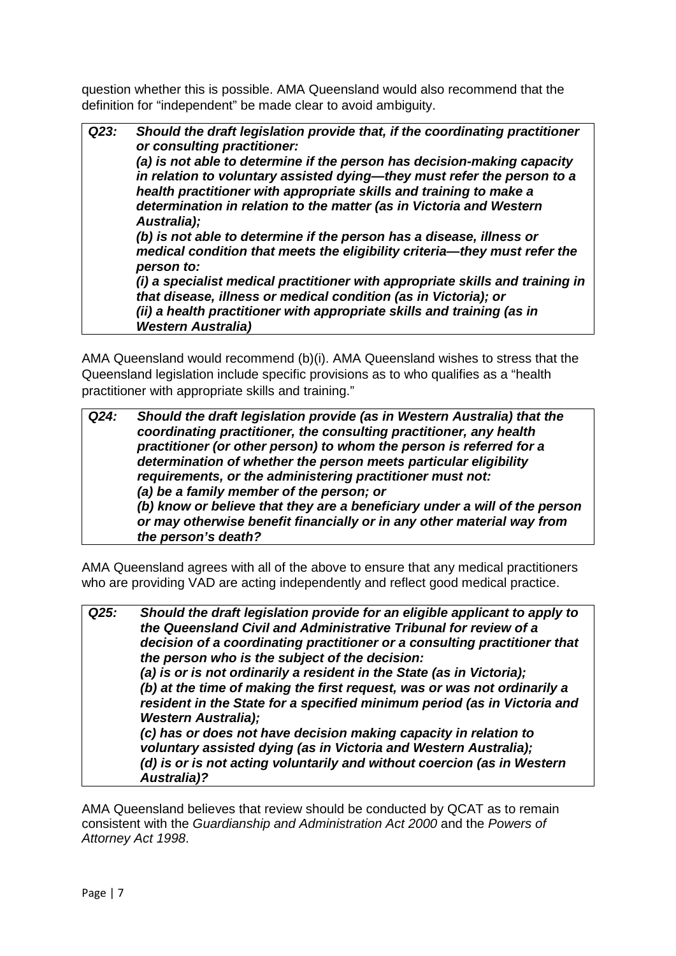question whether this is possible. AMA Queensland would also recommend that the definition for "independent" be made clear to avoid ambiguity.

*Q23: Should the draft legislation provide that, if the coordinating practitioner or consulting practitioner: (a) is not able to determine if the person has decision-making capacity in relation to voluntary assisted dying—they must refer the person to a health practitioner with appropriate skills and training to make a determination in relation to the matter (as in Victoria and Western Australia); (b) is not able to determine if the person has a disease, illness or medical condition that meets the eligibility criteria—they must refer the person to: (i) a specialist medical practitioner with appropriate skills and training in that disease, illness or medical condition (as in Victoria); or (ii) a health practitioner with appropriate skills and training (as in Western Australia)* 

AMA Queensland would recommend (b)(i). AMA Queensland wishes to stress that the Queensland legislation include specific provisions as to who qualifies as a "health practitioner with appropriate skills and training."

*Q24: Should the draft legislation provide (as in Western Australia) that the coordinating practitioner, the consulting practitioner, any health practitioner (or other person) to whom the person is referred for a determination of whether the person meets particular eligibility requirements, or the administering practitioner must not: (a) be a family member of the person; or (b) know or believe that they are a beneficiary under a will of the person or may otherwise benefit financially or in any other material way from the person's death?*

AMA Queensland agrees with all of the above to ensure that any medical practitioners who are providing VAD are acting independently and reflect good medical practice.

*Q25: Should the draft legislation provide for an eligible applicant to apply to the Queensland Civil and Administrative Tribunal for review of a decision of a coordinating practitioner or a consulting practitioner that the person who is the subject of the decision: (a) is or is not ordinarily a resident in the State (as in Victoria); (b) at the time of making the first request, was or was not ordinarily a resident in the State for a specified minimum period (as in Victoria and Western Australia); (c) has or does not have decision making capacity in relation to voluntary assisted dying (as in Victoria and Western Australia); (d) is or is not acting voluntarily and without coercion (as in Western Australia)?*

AMA Queensland believes that review should be conducted by QCAT as to remain consistent with the *Guardianship and Administration Act 2000* and the *Powers of Attorney Act 1998*.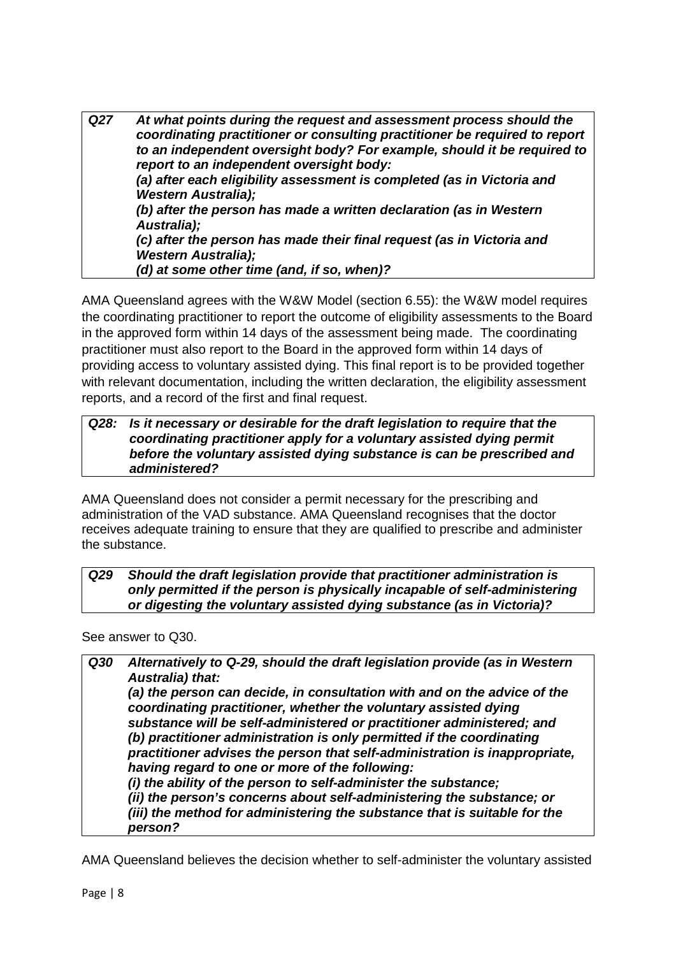*Q27 At what points during the request and assessment process should the coordinating practitioner or consulting practitioner be required to report to an independent oversight body? For example, should it be required to report to an independent oversight body: (a) after each eligibility assessment is completed (as in Victoria and Western Australia); (b) after the person has made a written declaration (as in Western Australia); (c) after the person has made their final request (as in Victoria and Western Australia); (d) at some other time (and, if so, when)?*

AMA Queensland agrees with the W&W Model (section 6.55): the W&W model requires the coordinating practitioner to report the outcome of eligibility assessments to the Board in the approved form within 14 days of the assessment being made. The coordinating practitioner must also report to the Board in the approved form within 14 days of providing access to voluntary assisted dying. This final report is to be provided together with relevant documentation, including the written declaration, the eligibility assessment reports, and a record of the first and final request.

### *Q28: Is it necessary or desirable for the draft legislation to require that the coordinating practitioner apply for a voluntary assisted dying permit before the voluntary assisted dying substance is can be prescribed and administered?*

AMA Queensland does not consider a permit necessary for the prescribing and administration of the VAD substance. AMA Queensland recognises that the doctor receives adequate training to ensure that they are qualified to prescribe and administer the substance.

*Q29 Should the draft legislation provide that practitioner administration is only permitted if the person is physically incapable of self-administering or digesting the voluntary assisted dying substance (as in Victoria)?*

See answer to Q30.

| Alternatively to Q-29, should the draft legislation provide (as in Western<br><b>Australia) that:</b>                                                                                                 |
|-------------------------------------------------------------------------------------------------------------------------------------------------------------------------------------------------------|
| (a) the person can decide, in consultation with and on the advice of the<br>coordinating practitioner, whether the voluntary assisted dying                                                           |
| substance will be self-administered or practitioner administered; and                                                                                                                                 |
| (b) practitioner administration is only permitted if the coordinating<br>practitioner advises the person that self-administration is inappropriate,<br>having regard to one or more of the following: |
| (i) the ability of the person to self-administer the substance;                                                                                                                                       |
| (ii) the person's concerns about self-administering the substance; or                                                                                                                                 |
| (iii) the method for administering the substance that is suitable for the<br>person?                                                                                                                  |
|                                                                                                                                                                                                       |

AMA Queensland believes the decision whether to self-administer the voluntary assisted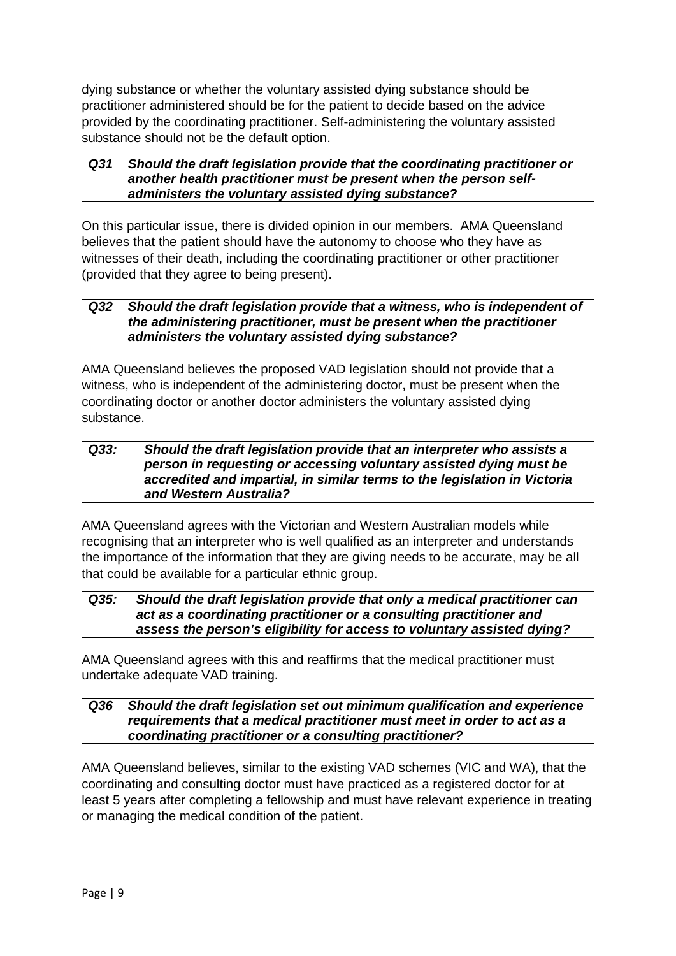dying substance or whether the voluntary assisted dying substance should be practitioner administered should be for the patient to decide based on the advice provided by the coordinating practitioner. Self-administering the voluntary assisted substance should not be the default option.

#### *Q31 Should the draft legislation provide that the coordinating practitioner or another health practitioner must be present when the person selfadministers the voluntary assisted dying substance?*

On this particular issue, there is divided opinion in our members. AMA Queensland believes that the patient should have the autonomy to choose who they have as witnesses of their death, including the coordinating practitioner or other practitioner (provided that they agree to being present).

# *Q32 Should the draft legislation provide that a witness, who is independent of the administering practitioner, must be present when the practitioner administers the voluntary assisted dying substance?*

AMA Queensland believes the proposed VAD legislation should not provide that a witness, who is independent of the administering doctor, must be present when the coordinating doctor or another doctor administers the voluntary assisted dying substance.

## *Q33: Should the draft legislation provide that an interpreter who assists a person in requesting or accessing voluntary assisted dying must be accredited and impartial, in similar terms to the legislation in Victoria and Western Australia?*

AMA Queensland agrees with the Victorian and Western Australian models while recognising that an interpreter who is well qualified as an interpreter and understands the importance of the information that they are giving needs to be accurate, may be all that could be available for a particular ethnic group.

# *Q35: Should the draft legislation provide that only a medical practitioner can act as a coordinating practitioner or a consulting practitioner and assess the person's eligibility for access to voluntary assisted dying?*

AMA Queensland agrees with this and reaffirms that the medical practitioner must undertake adequate VAD training.

# *Q36 Should the draft legislation set out minimum qualification and experience requirements that a medical practitioner must meet in order to act as a coordinating practitioner or a consulting practitioner?*

AMA Queensland believes, similar to the existing VAD schemes (VIC and WA), that the coordinating and consulting doctor must have practiced as a registered doctor for at least 5 years after completing a fellowship and must have relevant experience in treating or managing the medical condition of the patient.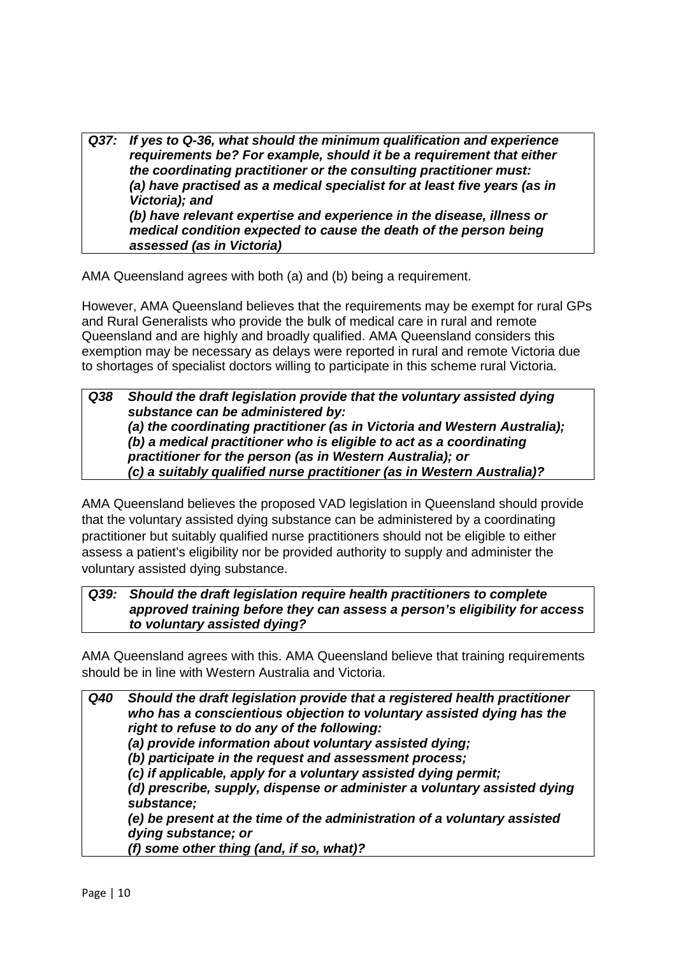*Q37: If yes to Q-36, what should the minimum qualification and experience requirements be? For example, should it be a requirement that either the coordinating practitioner or the consulting practitioner must: (a) have practised as a medical specialist for at least five years (as in Victoria); and (b) have relevant expertise and experience in the disease, illness or medical condition expected to cause the death of the person being assessed (as in Victoria)*

AMA Queensland agrees with both (a) and (b) being a requirement.

However, AMA Queensland believes that the requirements may be exempt for rural GPs and Rural Generalists who provide the bulk of medical care in rural and remote Queensland and are highly and broadly qualified. AMA Queensland considers this exemption may be necessary as delays were reported in rural and remote Victoria due to shortages of specialist doctors willing to participate in this scheme rural Victoria.

# *Q38 Should the draft legislation provide that the voluntary assisted dying substance can be administered by: (a) the coordinating practitioner (as in Victoria and Western Australia); (b) a medical practitioner who is eligible to act as a coordinating practitioner for the person (as in Western Australia); or (c) a suitably qualified nurse practitioner (as in Western Australia)?*

AMA Queensland believes the proposed VAD legislation in Queensland should provide that the voluntary assisted dying substance can be administered by a coordinating practitioner but suitably qualified nurse practitioners should not be eligible to either assess a patient's eligibility nor be provided authority to supply and administer the voluntary assisted dying substance.

# *Q39: Should the draft legislation require health practitioners to complete approved training before they can assess a person's eligibility for access to voluntary assisted dying?*

AMA Queensland agrees with this. AMA Queensland believe that training requirements should be in line with Western Australia and Victoria.

*Q40 Should the draft legislation provide that a registered health practitioner who has a conscientious objection to voluntary assisted dying has the right to refuse to do any of the following: (a) provide information about voluntary assisted dying; (b) participate in the request and assessment process; (c) if applicable, apply for a voluntary assisted dying permit; (d) prescribe, supply, dispense or administer a voluntary assisted dying substance; (e) be present at the time of the administration of a voluntary assisted dying substance; or (f) some other thing (and, if so, what)?*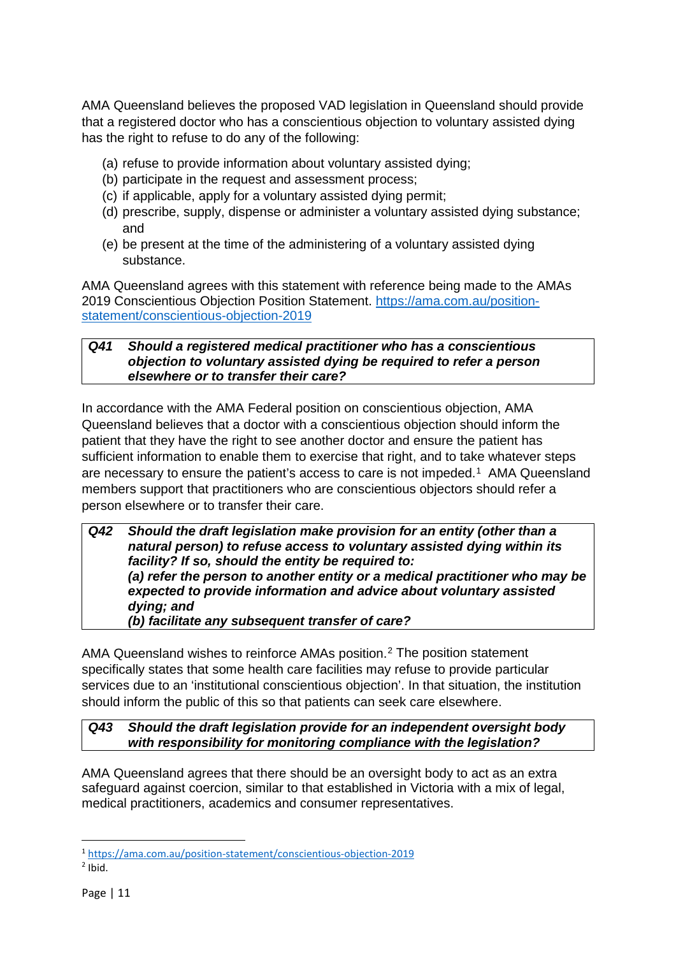AMA Queensland believes the proposed VAD legislation in Queensland should provide that a registered doctor who has a conscientious objection to voluntary assisted dying has the right to refuse to do any of the following:

- (a) refuse to provide information about voluntary assisted dying;
- (b) participate in the request and assessment process;
- (c) if applicable, apply for a voluntary assisted dying permit;
- (d) prescribe, supply, dispense or administer a voluntary assisted dying substance; and
- (e) be present at the time of the administering of a voluntary assisted dying substance.

AMA Queensland agrees with this statement with reference being made to the AMAs 2019 Conscientious Objection Position Statement. [https://ama.com.au/position](https://ama.com.au/position-statement/conscientious-objection-2019)[statement/conscientious-objection-2019](https://ama.com.au/position-statement/conscientious-objection-2019)

# *Q41 Should a registered medical practitioner who has a conscientious objection to voluntary assisted dying be required to refer a person elsewhere or to transfer their care?*

In accordance with the AMA Federal position on conscientious objection, AMA Queensland believes that a doctor with a conscientious objection should inform the patient that they have the right to see another doctor and ensure the patient has sufficient information to enable them to exercise that right, and to take whatever steps are necessary to ensure the patient's access to care is not impeded.[1](#page-10-0) AMA Queensland members support that practitioners who are conscientious objectors should refer a person elsewhere or to transfer their care.

*Q42 Should the draft legislation make provision for an entity (other than a natural person) to refuse access to voluntary assisted dying within its facility? If so, should the entity be required to: (a) refer the person to another entity or a medical practitioner who may be expected to provide information and advice about voluntary assisted dying; and (b) facilitate any subsequent transfer of care?*

AMA Queensland wishes to reinforce AMAs position.[2](#page-10-1) The position statement specifically states that some health care facilities may refuse to provide particular services due to an 'institutional conscientious objection'. In that situation, the institution should inform the public of this so that patients can seek care elsewhere.

# *Q43 Should the draft legislation provide for an independent oversight body with responsibility for monitoring compliance with the legislation?*

AMA Queensland agrees that there should be an oversight body to act as an extra safeguard against coercion, similar to that established in Victoria with a mix of legal, medical practitioners, academics and consumer representatives.

<span id="page-10-0"></span> <sup>1</sup> <https://ama.com.au/position-statement/conscientious-objection-2019>

<span id="page-10-1"></span> $2$  Ibid.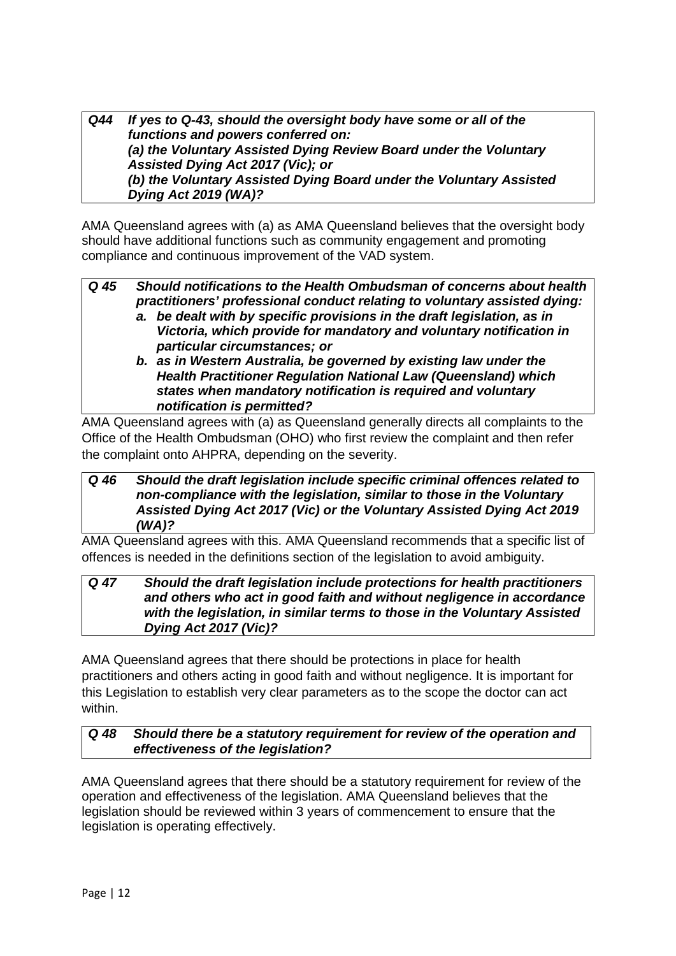*Q44 If yes to Q-43, should the oversight body have some or all of the functions and powers conferred on: (a) the Voluntary Assisted Dying Review Board under the Voluntary Assisted Dying Act 2017 (Vic); or (b) the Voluntary Assisted Dying Board under the Voluntary Assisted Dying Act 2019 (WA)?*

AMA Queensland agrees with (a) as AMA Queensland believes that the oversight body should have additional functions such as community engagement and promoting compliance and continuous improvement of the VAD system.

- *Q 45 Should notifications to the Health Ombudsman of concerns about health practitioners' professional conduct relating to voluntary assisted dying: a. be dealt with by specific provisions in the draft legislation, as in Victoria, which provide for mandatory and voluntary notification in particular circumstances; or*
	- *b. as in Western Australia, be governed by existing law under the Health Practitioner Regulation National Law (Queensland) which states when mandatory notification is required and voluntary notification is permitted?*

AMA Queensland agrees with (a) as Queensland generally directs all complaints to the Office of the Health Ombudsman (OHO) who first review the complaint and then refer the complaint onto AHPRA, depending on the severity.

# *Q 46 Should the draft legislation include specific criminal offences related to non-compliance with the legislation, similar to those in the Voluntary Assisted Dying Act 2017 (Vic) or the Voluntary Assisted Dying Act 2019 (WA)?*

AMA Queensland agrees with this. AMA Queensland recommends that a specific list of offences is needed in the definitions section of the legislation to avoid ambiguity.

# *Q 47 Should the draft legislation include protections for health practitioners and others who act in good faith and without negligence in accordance with the legislation, in similar terms to those in the Voluntary Assisted Dying Act 2017 (Vic)?*

AMA Queensland agrees that there should be protections in place for health practitioners and others acting in good faith and without negligence. It is important for this Legislation to establish very clear parameters as to the scope the doctor can act within.

# *Q 48 Should there be a statutory requirement for review of the operation and effectiveness of the legislation?*

AMA Queensland agrees that there should be a statutory requirement for review of the operation and effectiveness of the legislation. AMA Queensland believes that the legislation should be reviewed within 3 years of commencement to ensure that the legislation is operating effectively.